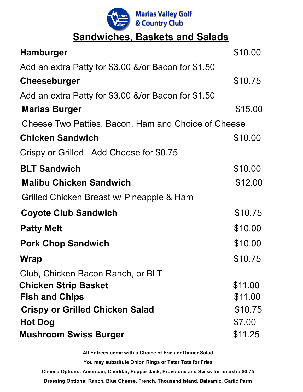

## **Sandwiches, Baskets and Salads**

| <b>Hamburger</b>                                    | \$10.00 |
|-----------------------------------------------------|---------|
| Add an extra Patty for \$3.00 &/or Bacon for \$1.50 |         |
| <b>Cheeseburger</b>                                 | \$10.75 |
| Add an extra Patty for \$3.00 &/or Bacon for \$1.50 |         |
| <b>Marias Burger</b>                                | \$15.00 |
| Cheese Two Patties, Bacon, Ham and Choice of Cheese |         |
| <b>Chicken Sandwich</b>                             | \$10.00 |
| Crispy or Grilled Add Cheese for \$0.75             |         |
| <b>BLT Sandwich</b>                                 | \$10.00 |
| <b>Malibu Chicken Sandwich</b>                      | \$12.00 |
| Grilled Chicken Breast w/ Pineapple & Ham           |         |
| <b>Coyote Club Sandwich</b>                         | \$10.75 |
| <b>Patty Melt</b>                                   | \$10.00 |
| <b>Pork Chop Sandwich</b>                           | \$10.00 |
| Wrap                                                | \$10.75 |
| Club, Chicken Bacon Ranch, or BLT                   |         |
| <b>Chicken Strip Basket</b>                         | \$11.00 |
| <b>Fish and Chips</b>                               | \$11.00 |
| <b>Crispy or Grilled Chicken Salad</b>              | \$10.75 |
| <b>Hot Dog</b>                                      | \$7.00  |
| <b>Mushroom Swiss Burger</b>                        | \$11.25 |

**All Entrees come with a Choice of Fries or Dinner Salad You may substitute Onion Rings or Tatar Tots for Fries Cheese Options: American, Cheddar, Pepper Jack, Provolone and Swiss for an extra \$0.75 Dressing Options: Ranch, Blue Cheese, French, Thousand Island, Balsamic, Garlic Parm**